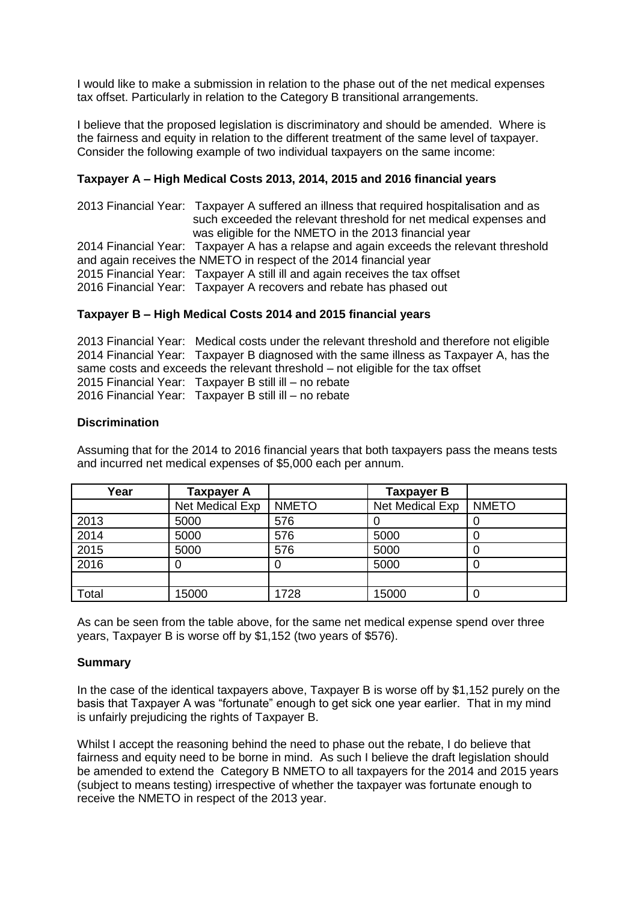I would like to make a submission in relation to the phase out of the net medical expenses tax offset. Particularly in relation to the Category B transitional arrangements.

I believe that the proposed legislation is discriminatory and should be amended. Where is the fairness and equity in relation to the different treatment of the same level of taxpayer. Consider the following example of two individual taxpayers on the same income:

# **Taxpayer A – High Medical Costs 2013, 2014, 2015 and 2016 financial years**

2013 Financial Year: Taxpayer A suffered an illness that required hospitalisation and as such exceeded the relevant threshold for net medical expenses and was eligible for the NMETO in the 2013 financial year 2014 Financial Year: Taxpayer A has a relapse and again exceeds the relevant threshold and again receives the NMETO in respect of the 2014 financial year 2015 Financial Year: Taxpayer A still ill and again receives the tax offset 2016 Financial Year: Taxpayer A recovers and rebate has phased out

## **Taxpayer B – High Medical Costs 2014 and 2015 financial years**

2013 Financial Year: Medical costs under the relevant threshold and therefore not eligible 2014 Financial Year: Taxpayer B diagnosed with the same illness as Taxpayer A, has the same costs and exceeds the relevant threshold – not eligible for the tax offset 2015 Financial Year: Taxpayer B still ill – no rebate 2016 Financial Year: Taxpayer B still ill – no rebate

#### **Discrimination**

Assuming that for the 2014 to 2016 financial years that both taxpayers pass the means tests and incurred net medical expenses of \$5,000 each per annum.

| Year  | <b>Taxpayer A</b> |              | <b>Taxpayer B</b> |              |
|-------|-------------------|--------------|-------------------|--------------|
|       | Net Medical Exp   | <b>NMETO</b> | Net Medical Exp   | <b>NMETO</b> |
| 2013  | 5000              | 576          |                   |              |
| 2014  | 5000              | 576          | 5000              |              |
| 2015  | 5000              | 576          | 5000              |              |
| 2016  |                   |              | 5000              |              |
|       |                   |              |                   |              |
| Total | 15000             | 1728         | 15000             |              |

As can be seen from the table above, for the same net medical expense spend over three years, Taxpayer B is worse off by \$1,152 (two years of \$576).

#### **Summary**

In the case of the identical taxpayers above, Taxpayer B is worse off by \$1,152 purely on the basis that Taxpayer A was "fortunate" enough to get sick one year earlier. That in my mind is unfairly prejudicing the rights of Taxpayer B.

Whilst I accept the reasoning behind the need to phase out the rebate, I do believe that fairness and equity need to be borne in mind. As such I believe the draft legislation should be amended to extend the Category B NMETO to all taxpayers for the 2014 and 2015 years (subject to means testing) irrespective of whether the taxpayer was fortunate enough to receive the NMETO in respect of the 2013 year.